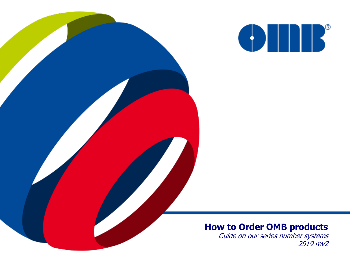

#### **How to Order OMB products**

Guide on our series number systems 2019 rev2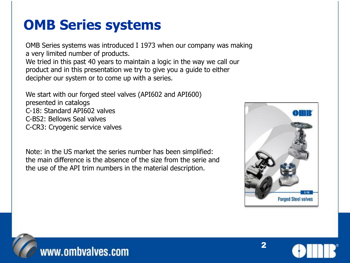## **OMB Series systems**

OMB Series systems was introduced I 1973 when our company was making a very limited number of products. We tried in this past 40 years to maintain a logic in the way we call our product and in this presentation we try to give you a guide to either decipher our system or to come up with a series.

We start with our forged steel valves (API602 and API600) presented in catalogs C-18: Standard API602 valves C-BS2: Bellows Seal valves C-CR3: Cryogenic service valves

Note: in the US market the series number has been simplified: the main difference is the absence of the size from the serie and the use of the API trim numbers in the material description.







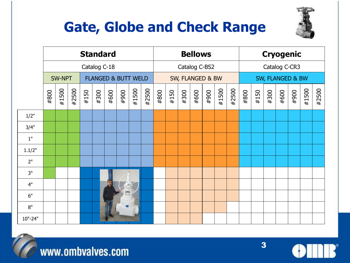# **Gate, Globe and Check Range**



|         | <b>Standard</b> |       |       |                                |      |      | <b>Bellows</b>   |       |       |      | <b>Cryogenic</b> |      |      |      |       |       |      |      |      |      |      |       |       |
|---------|-----------------|-------|-------|--------------------------------|------|------|------------------|-------|-------|------|------------------|------|------|------|-------|-------|------|------|------|------|------|-------|-------|
|         | Catalog C-18    |       |       |                                |      |      | Catalog C-BS2    |       |       |      | Catalog C-CR3    |      |      |      |       |       |      |      |      |      |      |       |       |
|         | <b>SW-NPT</b>   |       |       | <b>FLANGED &amp; BUTT WELD</b> |      |      | SW, FLANGED & BW |       |       |      | SW, FLANGED & BW |      |      |      |       |       |      |      |      |      |      |       |       |
|         | #800            | #1500 | #2500 | #150                           | #300 | #600 | 006#             | #1500 | #2500 | #800 | #150             | #300 | #600 | #900 | #1500 | #2500 | #800 | #150 | #300 | #600 | #900 | #1500 | #2500 |
| 1/2"    |                 |       |       |                                |      |      |                  |       |       |      |                  |      |      |      |       |       |      |      |      |      |      |       |       |
| 3/4"    |                 |       |       |                                |      |      |                  |       |       |      |                  |      |      |      |       |       |      |      |      |      |      |       |       |
| $1"$    |                 |       |       |                                |      |      |                  |       |       |      |                  |      |      |      |       |       |      |      |      |      |      |       |       |
| 1.1/2"  |                 |       |       |                                |      |      |                  |       |       |      |                  |      |      |      |       |       |      |      |      |      |      |       |       |
| 2"      |                 |       |       |                                |      |      |                  |       |       |      |                  |      |      |      |       |       |      |      |      |      |      |       |       |
| 3"      |                 |       |       |                                |      |      |                  |       |       |      |                  |      |      |      |       |       |      |      |      |      |      |       |       |
| 4"      |                 |       |       |                                |      |      |                  |       |       |      |                  |      |      |      |       |       |      |      |      |      |      |       |       |
| 6"      |                 |       |       |                                |      |      | <b>IN</b>        |       |       |      |                  |      |      |      |       |       |      |      |      |      |      |       |       |
| 8"      |                 |       |       |                                |      |      |                  |       |       |      |                  |      |      |      |       |       |      |      |      |      |      |       |       |
| 10"-24" |                 |       |       |                                |      |      |                  |       |       |      |                  |      |      |      |       |       |      |      |      |      |      |       |       |



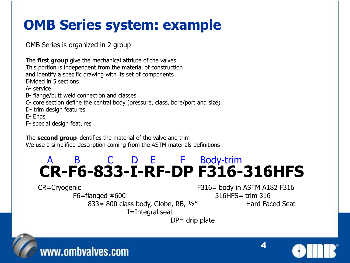## **OMB Series system: example**

OMB Series is organized in 2 group

The **first group** give the mechanical attriute of the valves This portion is independent from the material of construction and identify a specific drawing with its set of components Divided in 5 sections

A- service

- B- flange/butt weld connection and classes
- C- core section define the central body (pressure, class, bore/port and size)
- D- trim design features

E- Ends

F- special design features

The **second group** identifies the material of the valve and trim We use a simplified description coming from the ASTM materials definitions

#### **CR-F6-833-I-RF-DP F316-316HFS** A B C D E F Body-trim

F6=flanged #600 316HFS= trim 316 833= 800 class body, Globe, RB, 1/2" Hard Faced Seat I=Integral seat

CR=Cryogenic F316= body in ASTM A182 F316



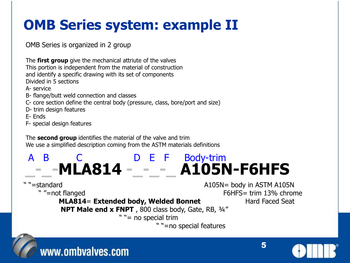## **OMB Series system: example II**

OMB Series is organized in 2 group

The **first group** give the mechanical attriute of the valves This portion is independent from the material of construction and identify a specific drawing with its set of components Divided in 5 sections

A- service

- B- flange/butt weld connection and classes
- C- core section define the central body (pressure, class, bore/port and size)
- D- trim design features

E- Ends

F- special design features

The **second group** identifies the material of the valve and trim We use a simplified description coming from the ASTM materials definitions

### A B C C D E F Body-trim **\_-\_-MLA814 -\_-\_-\_ A105N-F6HFS**

" "=standard A105N= body in ASTM A105N " "=not flanged F6HFS= trim 13% chrome **MLA814= Extended body, Welded Bonnet** Hard Faced Seat

**NPT Male end x FNPT**, 800 class body, Gate, RB, 3/4"

" "= no special trim

" "=no special features



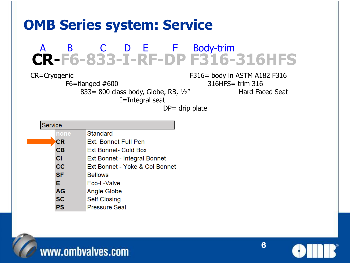### **OMB Series system: Service**

#### **CR-F6-833-I-RF-DP F316-316HFS** A B C D E F Body-trim

I=Integral seat

CR=Cryogenic F316= body in ASTM A182 F316 F6=flanged #600 316HFS= trim 316 833= 800 class body, Globe, RB, 1/2" Hard Faced Seat

| Service |           |                                |  |  |  |  |  |
|---------|-----------|--------------------------------|--|--|--|--|--|
|         | none      | Standard                       |  |  |  |  |  |
|         | СR        | Ext. Bonnet Full Pen           |  |  |  |  |  |
|         | CB        | Ext Bonnet- Cold Box           |  |  |  |  |  |
|         | <b>CI</b> | Ext Bonnet - Integral Bonnet   |  |  |  |  |  |
|         | <b>CC</b> | Ext Bonnet - Yoke & Col Bonnet |  |  |  |  |  |
|         | <b>SF</b> | <b>Bellows</b>                 |  |  |  |  |  |
|         | Е         | Eco-L-Valve                    |  |  |  |  |  |
|         | <b>AG</b> | Angle Globe                    |  |  |  |  |  |
|         | <b>SC</b> | <b>Self Closing</b>            |  |  |  |  |  |
|         | PS        | <b>Pressure Seal</b>           |  |  |  |  |  |



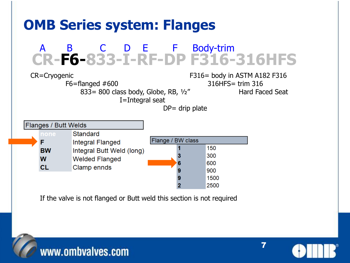



7

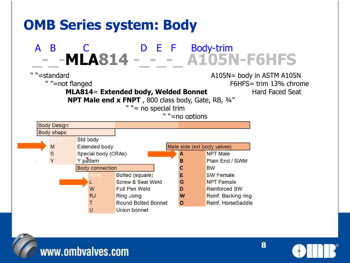



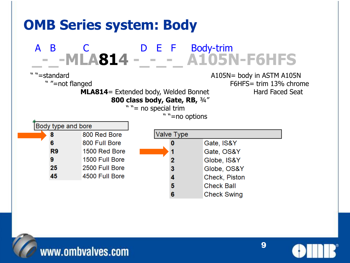

www.ombvalves.com

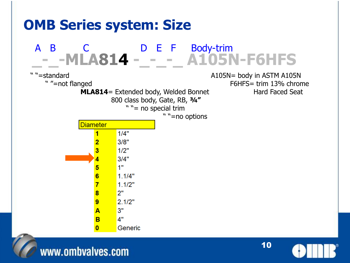

www.ombvalves.com

10

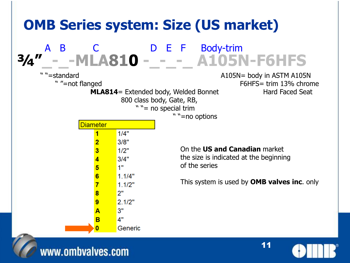

#### www.ombvalves.com

11

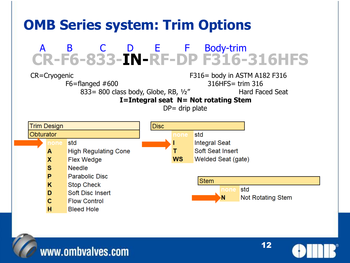## **OMB Series system: Trim Options**

#### A B C D E F Body-trim **CR-F6-833-IN-RF-DP F316-316HFS**

CR=Cryogenic F316= body in ASTM A182 F316 F6=flanged #600 316HFS= trim 316

833= 800 class body, Globe, RB, 1/2" Hard Faced Seat

**I=Integral seat N= Not rotating Stem**







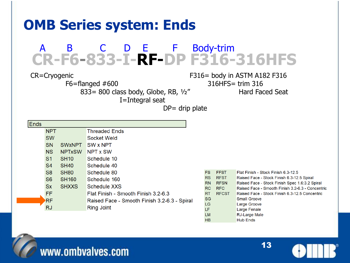### **OMB Series system: Ends**

#### A B C D E F Body-trim **CR-F6-833-I-RF-DP F316-316HFS**

I=Integral seat

CR=Cryogenic F316= body in ASTM A182 F316 F6=flanged #600 316HFS= trim 316 833= 800 class body, Globe, RB, 1/2" Hard Faced Seat

 $DP =$  drip plate

| Ends           |                          |                                              |                        |                           |
|----------------|--------------------------|----------------------------------------------|------------------------|---------------------------|
| <b>NPT</b>     |                          | <b>Threaded Ends</b>                         |                        |                           |
| <b>SW</b>      |                          | Socket Weld                                  |                        |                           |
| <b>SN</b>      | <b>SW<sub>xNPT</sub></b> | <b>SW x NPT</b>                              |                        |                           |
| <b>NS</b>      | <b>NPTxSW</b>            | <b>NPT x SW</b>                              |                        |                           |
| S <sub>1</sub> | <b>SH10</b>              | Schedule 10                                  |                        |                           |
| S <sub>4</sub> | <b>SH40</b>              | Schedule 40                                  |                        |                           |
| S <sub>8</sub> | <b>SH80</b>              | Schedule 80                                  | <b>FS</b>              | <b>FFST</b>               |
| S <sub>6</sub> | <b>SH160</b>             | Schedule 160                                 | <b>RS</b>              | <b>RFST</b>               |
| <b>Sx</b>      | <b>SHXXS</b>             | <b>Schedule XXS</b>                          | <b>RN</b><br><b>RC</b> | <b>RFSN</b><br><b>RFC</b> |
| FF.            |                          | Flat Finish - Smooth Finish 3.2-6.3          | <b>RT</b>              | <b>RFCST</b>              |
| <b>RF</b>      |                          | Raised Face - Smooth Finish 3.2-6.3 - Spiral | <b>SG</b>              |                           |
| <b>RJ</b>      |                          | <b>Ring Joint</b>                            | LG                     |                           |
|                |                          |                                              | LF<br><b>LM</b>        |                           |
|                |                          |                                              | HB                     |                           |



13

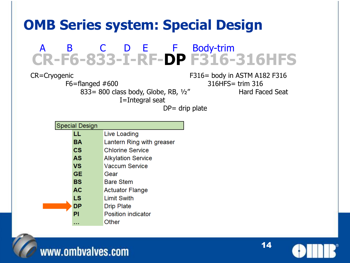## **OMB Series system: Special Design**

#### A B C D E F Body-trim **CR-F6-833-I-RF-DP F316-316HFS**

F6=flanged #600 316HFS= trim 316 833= 800 class body, Globe, RB, 1/2" Hard Faced Seat I=Integral seat

CR=Cryogenic F316= body in ASTM A182 F316

| <b>Special Design</b> |               |                           |  |  |  |  |
|-----------------------|---------------|---------------------------|--|--|--|--|
|                       | LL            | Live Loading              |  |  |  |  |
|                       | ΒA            | Lantern Ring with greaser |  |  |  |  |
|                       | $\mathsf{cs}$ | <b>Chlorine Service</b>   |  |  |  |  |
|                       | AS            | <b>Alkylation Service</b> |  |  |  |  |
|                       | VS            | <b>Vaccum Service</b>     |  |  |  |  |
|                       | GE            | Gear                      |  |  |  |  |
|                       | BS            | <b>Bare Stem</b>          |  |  |  |  |
|                       | AC            | <b>Actuator Flange</b>    |  |  |  |  |
|                       | LS            | <b>Limit Swith</b>        |  |  |  |  |
|                       | DP            | <b>Drip Plate</b>         |  |  |  |  |
|                       | ΡI            | <b>Position indicator</b> |  |  |  |  |
|                       |               | Other                     |  |  |  |  |



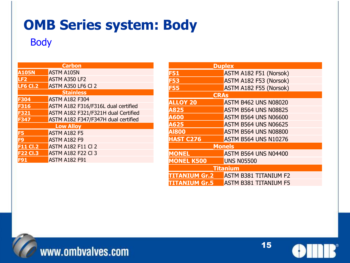### **OMB Series system: Body**

#### Body

| <b>Carbon</b>   |                                     |  |  |  |  |  |  |
|-----------------|-------------------------------------|--|--|--|--|--|--|
| <b>A105N</b>    | <b>ASTM A105N</b>                   |  |  |  |  |  |  |
| LF <sub>2</sub> | <b>ASTM A350 LF2</b>                |  |  |  |  |  |  |
| <b>LF6 CI.2</b> | ASTM A350 LF6 Cl 2                  |  |  |  |  |  |  |
|                 | <b>Stainless</b>                    |  |  |  |  |  |  |
| F304            | <b>ASTM A182 F304</b>               |  |  |  |  |  |  |
| F316            | ASTM A182 F316/F316L dual certified |  |  |  |  |  |  |
| F321            | ASTM A182 F321/F321H dual Certified |  |  |  |  |  |  |
| <b>F347</b>     | ASTM A182 F347/F347H dual certified |  |  |  |  |  |  |
|                 | <b>Low Alloy</b>                    |  |  |  |  |  |  |
| F5              | <b>ASTM A182 F5</b>                 |  |  |  |  |  |  |
| F9              | <b>ASTM A182 F9</b>                 |  |  |  |  |  |  |
| <b>F11 Cl.2</b> | <b>ASTM A182 F11 Cl 2</b>           |  |  |  |  |  |  |
| <b>F22 Cl.3</b> | <b>ASTM A182 F22 CI 3</b>           |  |  |  |  |  |  |
| F91             | <b>ASTM A182 F91</b>                |  |  |  |  |  |  |

| <b>Duplex</b>        |                              |  |  |  |  |  |  |
|----------------------|------------------------------|--|--|--|--|--|--|
| <b>F51</b>           | ASTM A182 F51 (Norsok)       |  |  |  |  |  |  |
| <b>F53</b>           | ASTM A182 F53 (Norsok)       |  |  |  |  |  |  |
| <b>F55</b>           | ASTM A182 F55 (Norsok)       |  |  |  |  |  |  |
| <b>CRAs</b>          |                              |  |  |  |  |  |  |
| <b>ALLOY 20</b>      | <b>ASTM B462 UNS N08020</b>  |  |  |  |  |  |  |
| A825                 | <b>ASTM B564 UNS N08825</b>  |  |  |  |  |  |  |
| A600                 | <b>ASTM B564 UNS N06600</b>  |  |  |  |  |  |  |
| A625                 | <b>ASTM B564 UNS N06625</b>  |  |  |  |  |  |  |
| <b>AI800</b>         | <b>ASTM B564 UNS N08800</b>  |  |  |  |  |  |  |
| <b>HAST C276</b>     | <b>ASTM B564 UNS N10276</b>  |  |  |  |  |  |  |
|                      | <b>Monels</b>                |  |  |  |  |  |  |
| <b>MONEL</b>         | <b>ASTM B564 UNS N04400</b>  |  |  |  |  |  |  |
| <b>MONEL K500</b>    | <b>UNS N05500</b>            |  |  |  |  |  |  |
| <b>Titanium</b>      |                              |  |  |  |  |  |  |
| <b>TITANIUM Gr.2</b> | <b>ASTM B381 TITANIUM F2</b> |  |  |  |  |  |  |
| <b>TITANIUM Gr.5</b> | <b>ASTM B381 TITANIUM F5</b> |  |  |  |  |  |  |



www.ombvalves.com



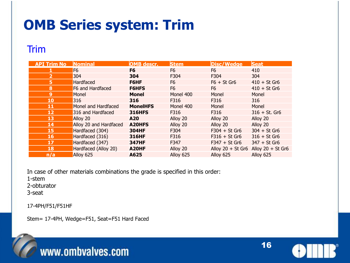## **OMB Series system: Trim**

#### Trim

| <b>API Trim No</b> | <b>Nominal</b>         | <b>OMB</b> descr. | <b>Stem</b>    | <b>Disc/Wedge</b>                       | <b>Seat</b>     |
|--------------------|------------------------|-------------------|----------------|-----------------------------------------|-----------------|
|                    | F <sub>6</sub>         | F <sub>6</sub>    | F <sub>6</sub> | F <sub>6</sub>                          | 410             |
| $\overline{2}$     | 304                    | 304               | F304           | F304                                    | 304             |
| 5                  | Hardfaced              | F6HF              | F6             | $F6 + St$ Gr6                           | $410 + St Gr6$  |
| 8                  | F6 and Hardfaced       | <b>F6HFS</b>      | F6             | F <sub>6</sub>                          | $410 + St Gr6$  |
| 9                  | Monel                  | <b>Monel</b>      | Monel 400      | Monel                                   | Monel           |
| 10                 | 316                    | 316               | F316           | F316                                    | 316             |
| 11                 | Monel and Hardfaced    | <b>MonelHFS</b>   | Monel 400      | Monel                                   | Monel           |
| 12                 | 316 and Hardfaced      | <b>316HFS</b>     | F316           | F316                                    | $316 + St. Gr6$ |
| 13                 | Alloy 20               | A20               | Alloy 20       | Alloy 20                                | Alloy 20        |
| 14                 | Alloy 20 and Hardfaced | A20HFS            | Alloy 20       | Alloy 20                                | Alloy 20        |
| 15                 | Hardfaced (304)        | <b>304HF</b>      | F304           | $F304 + St Gr6$                         | $304 + St Gr6$  |
| 16                 | Hardfaced (316)        | <b>316HF</b>      | F316           | $F316 + St Gr6$                         | $316 + St Gr6$  |
| 17                 | Hardfaced (347)        | <b>347HF</b>      | F347           | $F347 + St Gr6$                         | $347 + St$ Gr6  |
| 18                 | Hardfaced (Alloy 20)   | A20HF             | Alloy 20       | Alloy $20 + St$ Gr6 Alloy $20 + St$ Gr6 |                 |
| n/a                | Alloy 625              | A625              | Alloy 625      | Alloy 625                               | Alloy 625       |

In case of other materials combinations the grade is specified in this order:

1-stem

2-obturator

3-seat

17-4PH/F51/F51HF

Stem= 17-4PH, Wedge=F51, Seat=F51 Hard Faced